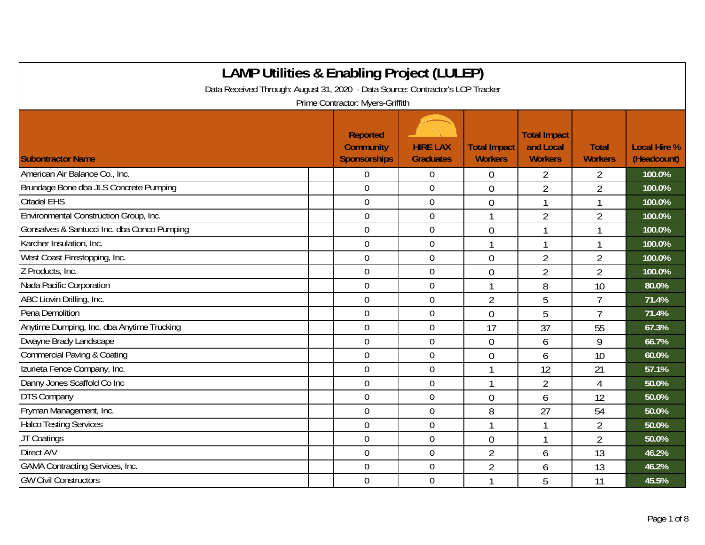| <b>LAMP Utilities &amp; Enabling Project (LULEP)</b>                           |                                                            |                                     |                                       |                                                    |                                |                                    |
|--------------------------------------------------------------------------------|------------------------------------------------------------|-------------------------------------|---------------------------------------|----------------------------------------------------|--------------------------------|------------------------------------|
| Data Received Through: August 31, 2020 - Data Source: Contractor's LCP Tracker |                                                            |                                     |                                       |                                                    |                                |                                    |
|                                                                                | Prime Contractor: Myers-Griffith                           |                                     |                                       |                                                    |                                |                                    |
| <b>Subontractor Name</b>                                                       | <b>Reported</b><br><b>Community</b><br><b>Sponsorships</b> | <b>HIRE LAX</b><br><b>Graduates</b> | <b>Total Impact</b><br><b>Workers</b> | <b>Total Impact</b><br>and Local<br><b>Workers</b> | <b>Total</b><br><b>Workers</b> | <b>Local Hire %</b><br>(Headcount) |
| American Air Balance Co., Inc.                                                 | $\Omega$                                                   | $\overline{0}$                      | $\theta$                              | 2                                                  | 2                              | 100.0%                             |
| Brundage Bone dba JLS Concrete Pumping                                         | $\overline{0}$                                             | $\mathbf 0$                         | $\overline{0}$                        | $\overline{2}$                                     | $\overline{2}$                 | 100.0%                             |
| <b>Citadel EHS</b>                                                             | $\overline{0}$                                             | $\mathbf 0$                         | $\overline{0}$                        | $\mathbf{1}$                                       | 1                              | 100.0%                             |
| Environmental Construction Group, Inc.                                         | $\mathbf 0$                                                | $\boldsymbol{0}$                    |                                       | $\overline{2}$                                     | $\overline{2}$                 | 100.0%                             |
| Gonsalves & Santucci Inc. dba Conco Pumping                                    | $\mathbf 0$                                                | $\mathbf 0$                         | $\mathbf 0$                           | 1                                                  |                                | 100.0%                             |
| Karcher Insulation, Inc.                                                       | $\mathbf 0$                                                | $\boldsymbol{0}$                    |                                       | 1                                                  |                                | 100.0%                             |
| West Coast Firestopping, Inc.                                                  | $\mathbf 0$                                                | $\boldsymbol{0}$                    | $\overline{0}$                        | $\overline{2}$                                     | $\overline{2}$                 | 100.0%                             |
| Z Products, Inc.                                                               | $\overline{0}$                                             | $\overline{0}$                      | $\overline{0}$                        | $\overline{2}$                                     | $\overline{2}$                 | 100.0%                             |
| Nada Pacific Corporation                                                       | $\overline{0}$                                             | $\overline{0}$                      |                                       | 8                                                  | 10                             | 80.0%                              |
| ABC Liovin Drilling, Inc.                                                      | $\overline{0}$                                             | $\overline{0}$                      | $\overline{2}$                        | 5                                                  | $\overline{7}$                 | 71.4%                              |
| Pena Demolition                                                                | $\mathbf 0$                                                | $\mathbf 0$                         | $\overline{0}$                        | 5                                                  | 7                              | 71.4%                              |
| Anytime Dumping, Inc. dba Anytime Trucking                                     | $\mathbf 0$                                                | $\overline{0}$                      | 17                                    | 37                                                 | 55                             | 67.3%                              |
| Dwayne Brady Landscape                                                         | $\overline{0}$                                             | $\overline{0}$                      | $\overline{0}$                        | 6                                                  | 9                              | 66.7%                              |
| <b>Commercial Paving &amp; Coating</b>                                         | $\overline{0}$                                             | $\mathbf 0$                         | $\theta$                              | 6                                                  | 10                             | 60.0%                              |
| Izurieta Fence Company, Inc.                                                   | $\mathbf 0$                                                | $\mathbf 0$                         |                                       | 12                                                 | 21                             | 57.1%                              |
| Danny Jones Scaffold Co Inc                                                    | $\mathbf 0$                                                | $\boldsymbol{0}$                    |                                       | $\overline{2}$                                     | 4                              | 50.0%                              |
| <b>DTS Company</b>                                                             | $\mathbf 0$                                                | $\mathbf 0$                         | $\overline{0}$                        | 6                                                  | 12                             | 50.0%                              |
| Fryman Management, Inc.                                                        | $\mathbf 0$                                                | $\boldsymbol{0}$                    | 8                                     | 27                                                 | 54                             | 50.0%                              |
| <b>Halco Testing Services</b>                                                  | $\mathbf 0$                                                | $\mathbf 0$                         |                                       | 1                                                  | $\overline{2}$                 | 50.0%                              |
| JT Coatings                                                                    | $\overline{0}$                                             | $\mathbf 0$                         | $\mathbf{0}$                          | 1                                                  | $\overline{2}$                 | 50.0%                              |
| Direct A/V                                                                     | $\overline{0}$                                             | $\mathbf 0$                         | $\overline{2}$                        | 6                                                  | 13                             | 46.2%                              |
| <b>GAMA Contracting Services, Inc.</b>                                         | $\overline{0}$                                             | $\mathbf 0$                         | $\overline{2}$                        | 6                                                  | 13                             | 46.2%                              |
| <b>GW Civil Constructors</b>                                                   | $\overline{0}$                                             | $\mathbf 0$                         |                                       | 5                                                  | 11                             | 45.5%                              |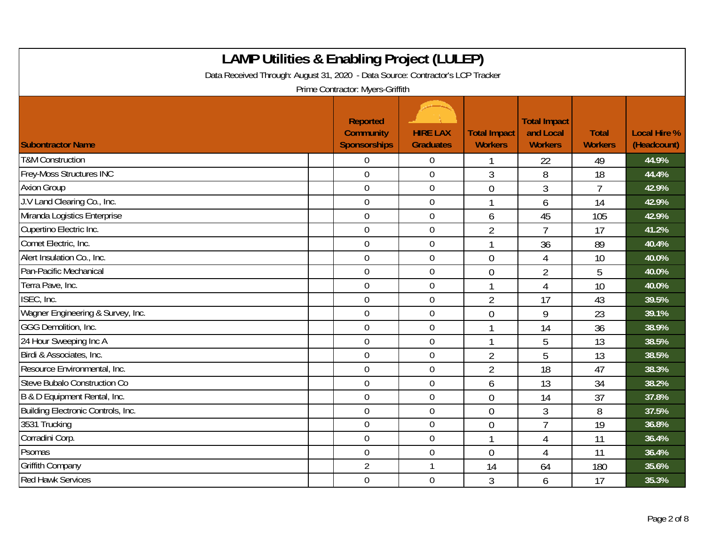| <b>LAMP Utilities &amp; Enabling Project (LULEP)</b><br>Data Received Through: August 31, 2020 - Data Source: Contractor's LCP Tracker<br>Prime Contractor: Myers-Griffith |  |                                                     |                                     |                                       |                                                    |                                |                                    |  |
|----------------------------------------------------------------------------------------------------------------------------------------------------------------------------|--|-----------------------------------------------------|-------------------------------------|---------------------------------------|----------------------------------------------------|--------------------------------|------------------------------------|--|
| <b>Subontractor Name</b>                                                                                                                                                   |  | Reported<br><b>Community</b><br><b>Sponsorships</b> | <b>HIRE LAX</b><br><b>Graduates</b> | <b>Total Impact</b><br><b>Workers</b> | <b>Total Impact</b><br>and Local<br><b>Workers</b> | <b>Total</b><br><b>Workers</b> | <b>Local Hire %</b><br>(Headcount) |  |
| <b>T&amp;M Construction</b>                                                                                                                                                |  | $\overline{0}$                                      | $\overline{0}$                      |                                       | 22                                                 | 49                             | 44.9%                              |  |
| <b>Frey-Moss Structures INC</b>                                                                                                                                            |  | $\mathbf 0$                                         | $\mathbf 0$                         | 3                                     | 8                                                  | 18                             | 44.4%                              |  |
| <b>Axion Group</b>                                                                                                                                                         |  | $\mathbf 0$                                         | $\boldsymbol{0}$                    | $\overline{0}$                        | 3                                                  | $\overline{1}$                 | 42.9%                              |  |
| J.V Land Clearing Co., Inc.                                                                                                                                                |  | $\mathbf 0$                                         | $\mathbf 0$                         | 1                                     | 6                                                  | 14                             | 42.9%                              |  |
| Miranda Logistics Enterprise                                                                                                                                               |  | $\overline{0}$                                      | $\mathbf 0$                         | 6                                     | 45                                                 | 105                            | 42.9%                              |  |
| Cupertino Electric Inc.                                                                                                                                                    |  | $\overline{0}$                                      | $\boldsymbol{0}$                    | $\overline{2}$                        | $\overline{7}$                                     | 17                             | 41.2%                              |  |
| Comet Electric, Inc.                                                                                                                                                       |  | $\mathbf 0$                                         | $\boldsymbol{0}$                    |                                       | 36                                                 | 89                             | 40.4%                              |  |
| Alert Insulation Co., Inc.                                                                                                                                                 |  | $\mathbf 0$                                         | $\boldsymbol{0}$                    | $\overline{0}$                        | 4                                                  | 10                             | 40.0%                              |  |
| Pan-Pacific Mechanical                                                                                                                                                     |  | $\mathbf 0$                                         | $\pmb{0}$                           | $\overline{0}$                        | $\overline{2}$                                     | 5                              | 40.0%                              |  |
| Terra Pave, Inc.                                                                                                                                                           |  | $\mathbf 0$                                         | $\mathbf 0$                         | $\mathbf{1}$                          | $\overline{4}$                                     | 10                             | 40.0%                              |  |
| ISEC, Inc.                                                                                                                                                                 |  | $\overline{0}$                                      | $\boldsymbol{0}$                    | $\overline{2}$                        | 17                                                 | 43                             | 39.5%                              |  |
| Wagner Engineering & Survey, Inc.                                                                                                                                          |  | $\mathbf 0$                                         | $\boldsymbol{0}$                    | $\overline{0}$                        | 9                                                  | 23                             | 39.1%                              |  |
| GGG Demolition, Inc.                                                                                                                                                       |  | $\overline{0}$                                      | $\mathbf 0$                         |                                       | 14                                                 | 36                             | 38.9%                              |  |
| 24 Hour Sweeping Inc A                                                                                                                                                     |  | $\mathbf 0$                                         | $\overline{0}$                      |                                       | 5                                                  | 13                             | 38.5%                              |  |
| Birdi & Associates, Inc.                                                                                                                                                   |  | $\mathbf 0$                                         | $\mathbf 0$                         | $\overline{2}$                        | 5                                                  | 13                             | 38.5%                              |  |
| Resource Environmental, Inc.                                                                                                                                               |  | $\overline{0}$                                      | $\overline{0}$                      | $\overline{2}$                        | 18                                                 | 47                             | 38.3%                              |  |
| Steve Bubalo Construction Co                                                                                                                                               |  | $\mathbf 0$                                         | $\boldsymbol{0}$                    | 6                                     | 13                                                 | 34                             | 38.2%                              |  |
| B & D Equipment Rental, Inc.                                                                                                                                               |  | $\theta$                                            | $\mathbf 0$                         | $\overline{0}$                        | 14                                                 | 37                             | 37.8%                              |  |
| Building Electronic Controls, Inc.                                                                                                                                         |  | $\overline{0}$                                      | $\mathbf 0$                         | $\theta$                              | 3                                                  | 8                              | 37.5%                              |  |
| 3531 Trucking                                                                                                                                                              |  | $\mathbf 0$                                         | $\boldsymbol{0}$                    | $\overline{0}$                        | $\overline{7}$                                     | 19                             | 36.8%                              |  |
| Corradini Corp.                                                                                                                                                            |  | $\mathbf 0$                                         | $\mathbf 0$                         |                                       | 4                                                  | 11                             | 36.4%                              |  |
| Psomas                                                                                                                                                                     |  | $\overline{0}$                                      | $\mathbf 0$                         | $\Omega$                              | 4                                                  | 11                             | 36.4%                              |  |
| <b>Griffith Company</b>                                                                                                                                                    |  | 2                                                   | 1                                   | 14                                    | 64                                                 | 180                            | 35.6%                              |  |
| <b>Red Hawk Services</b>                                                                                                                                                   |  | $\mathbf 0$                                         | $\mathbf 0$                         | 3                                     | 6                                                  | 17                             | 35.3%                              |  |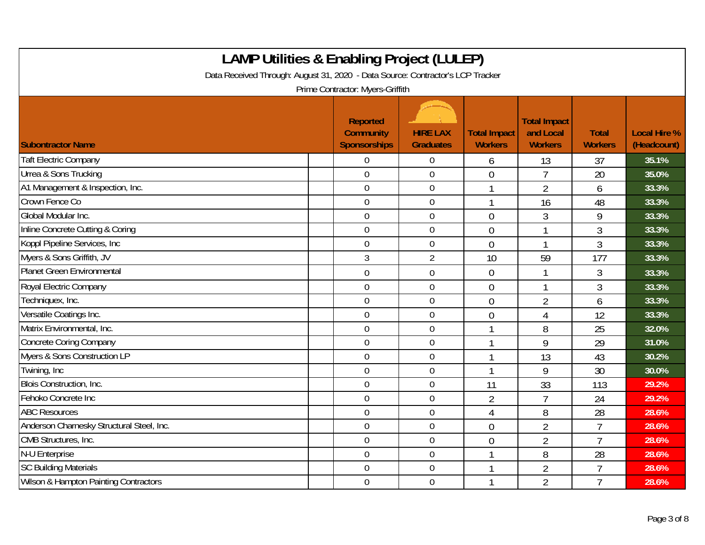| <b>LAMP Utilities &amp; Enabling Project (LULEP)</b><br>Data Received Through: August 31, 2020 - Data Source: Contractor's LCP Tracker<br>Prime Contractor: Myers-Griffith |                                                            |                                     |                                       |                                                    |                                |                                    |  |  |
|----------------------------------------------------------------------------------------------------------------------------------------------------------------------------|------------------------------------------------------------|-------------------------------------|---------------------------------------|----------------------------------------------------|--------------------------------|------------------------------------|--|--|
| <b>Subontractor Name</b>                                                                                                                                                   | <b>Reported</b><br><b>Community</b><br><b>Sponsorships</b> | <b>HIRE LAX</b><br><b>Graduates</b> | <b>Total Impact</b><br><b>Workers</b> | <b>Total Impact</b><br>and Local<br><b>Workers</b> | <b>Total</b><br><b>Workers</b> | <b>Local Hire %</b><br>(Headcount) |  |  |
| <b>Taft Electric Company</b>                                                                                                                                               | 0                                                          | $\overline{0}$                      | 6                                     | 13                                                 | 37                             | 35.1%                              |  |  |
| Urrea & Sons Trucking                                                                                                                                                      | $\overline{0}$                                             | $\overline{0}$                      | $\overline{0}$                        | $\overline{7}$                                     | 20                             | 35.0%                              |  |  |
| A1 Management & Inspection, Inc.                                                                                                                                           | $\overline{0}$                                             | $\overline{0}$                      |                                       | $\overline{2}$                                     | 6                              | 33.3%                              |  |  |
| Crown Fence Co                                                                                                                                                             | $\mathbf 0$                                                | $\boldsymbol{0}$                    | 1                                     | 16                                                 | 48                             | 33.3%                              |  |  |
| Global Modular Inc.                                                                                                                                                        | 0                                                          | $\overline{0}$                      | $\Omega$                              | $\overline{3}$                                     | 9                              | 33.3%                              |  |  |
| Inline Concrete Cutting & Coring                                                                                                                                           | $\overline{0}$                                             | $\overline{0}$                      | $\overline{0}$                        | 1                                                  | 3                              | 33.3%                              |  |  |
| Koppl Pipeline Services, Inc.                                                                                                                                              | 0                                                          | $\overline{0}$                      | $\theta$                              |                                                    | 3                              | 33.3%                              |  |  |
| Myers & Sons Griffith, JV                                                                                                                                                  | 3                                                          | $\overline{2}$                      | 10                                    | 59                                                 | 177                            | 33.3%                              |  |  |
| <b>Planet Green Environmental</b>                                                                                                                                          | 0                                                          | $\boldsymbol{0}$                    | $\overline{0}$                        | 1                                                  | 3                              | 33.3%                              |  |  |
| Royal Electric Company                                                                                                                                                     | $\overline{0}$                                             | $\boldsymbol{0}$                    | $\overline{0}$                        | 1                                                  | 3                              | 33.3%                              |  |  |
| Techniquex, Inc.                                                                                                                                                           | $\overline{0}$                                             | $\mathbf 0$                         | $\overline{0}$                        | $\overline{2}$                                     | 6                              | 33.3%                              |  |  |
| Versatile Coatings Inc.                                                                                                                                                    | 0                                                          | $\overline{0}$                      | $\Omega$                              | 4                                                  | 12                             | 33.3%                              |  |  |
| Matrix Environmental, Inc.                                                                                                                                                 | $\mathbf 0$                                                | $\overline{0}$                      | 1                                     | 8                                                  | 25                             | 32.0%                              |  |  |
| <b>Concrete Coring Company</b>                                                                                                                                             | $\overline{0}$                                             | $\overline{0}$                      |                                       | 9                                                  | 29                             | 31.0%                              |  |  |
| Myers & Sons Construction LP                                                                                                                                               | 0                                                          | $\boldsymbol{0}$                    |                                       | 13                                                 | 43                             | 30.2%                              |  |  |
| Twining, Inc                                                                                                                                                               | $\mathbf 0$                                                | $\overline{0}$                      | $\mathbf 1$                           | 9                                                  | 30                             | 30.0%                              |  |  |
| <b>Blois Construction, Inc.</b>                                                                                                                                            | $\overline{0}$                                             | $\overline{0}$                      | 11                                    | 33                                                 | 113                            | 29.2%                              |  |  |
| Fehoko Concrete Inc                                                                                                                                                        | 0                                                          | $\overline{0}$                      | $\overline{2}$                        | $\overline{1}$                                     | 24                             | 29.2%                              |  |  |
| <b>ABC Resources</b>                                                                                                                                                       | $\overline{0}$                                             | $\overline{0}$                      | $\overline{4}$                        | 8                                                  | 28                             | 28.6%                              |  |  |
| Anderson Charnesky Structural Steel, Inc.                                                                                                                                  | 0                                                          | $\overline{0}$                      | $\overline{0}$                        | $\overline{2}$                                     | $\overline{1}$                 | 28.6%                              |  |  |
| CMB Structures, Inc.                                                                                                                                                       | 0                                                          | $\overline{0}$                      | $\overline{0}$                        | $\overline{2}$                                     | $\overline{1}$                 | 28.6%                              |  |  |
| N-U Enterprise                                                                                                                                                             | $\boldsymbol{0}$                                           | $\boldsymbol{0}$                    | $\mathbf{1}$                          | 8                                                  | 28                             | 28.6%                              |  |  |
| <b>SC Building Materials</b>                                                                                                                                               | 0                                                          | $\mathbf 0$                         |                                       | $\overline{2}$                                     | $\overline{7}$                 | 28.6%                              |  |  |
| Wilson & Hampton Painting Contractors                                                                                                                                      | 0                                                          | $\overline{0}$                      |                                       | $\overline{2}$                                     | $\overline{1}$                 | 28.6%                              |  |  |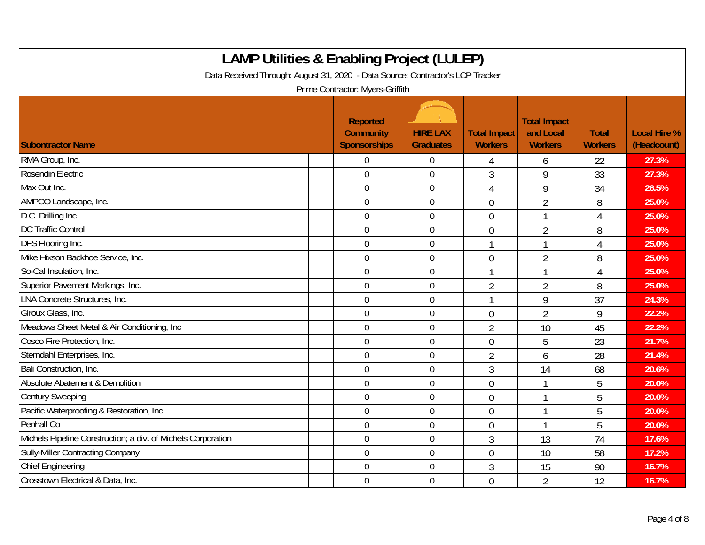| <b>LAMP Utilities &amp; Enabling Project (LULEP)</b><br>Data Received Through: August 31, 2020 - Data Source: Contractor's LCP Tracker<br>Prime Contractor: Myers-Griffith |                                              |                                     |                                       |                                                    |                                |                                    |  |  |
|----------------------------------------------------------------------------------------------------------------------------------------------------------------------------|----------------------------------------------|-------------------------------------|---------------------------------------|----------------------------------------------------|--------------------------------|------------------------------------|--|--|
| <b>Subontractor Name</b>                                                                                                                                                   | Reported<br><b>Community</b><br>Sponsorships | <b>HIRE LAX</b><br><b>Graduates</b> | <b>Total Impact</b><br><b>Workers</b> | <b>Total Impact</b><br>and Local<br><b>Workers</b> | <b>Total</b><br><b>Workers</b> | <b>Local Hire %</b><br>(Headcount) |  |  |
| RMA Group, Inc.                                                                                                                                                            | 0                                            | $\overline{0}$                      | 4                                     | 6                                                  | 22                             | 27.3%                              |  |  |
| Rosendin Electric                                                                                                                                                          | $\overline{0}$                               | $\overline{0}$                      | 3                                     | 9                                                  | 33                             | 27.3%                              |  |  |
| Max Out Inc.                                                                                                                                                               | $\mathbf 0$                                  | $\boldsymbol{0}$                    | $\overline{4}$                        | 9                                                  | 34                             | 26.5%                              |  |  |
| AMPCO Landscape, Inc.                                                                                                                                                      | $\overline{0}$                               | $\mathbf 0$                         | $\theta$                              | $\overline{2}$                                     | 8                              | 25.0%                              |  |  |
| D.C. Drilling Inc                                                                                                                                                          | $\overline{0}$                               | $\mathbf 0$                         | $\theta$                              |                                                    | 4                              | 25.0%                              |  |  |
| <b>DC Traffic Control</b>                                                                                                                                                  | $\overline{0}$                               | $\boldsymbol{0}$                    | $\overline{0}$                        | $\overline{2}$                                     | 8                              | 25.0%                              |  |  |
| DFS Flooring Inc.                                                                                                                                                          | $\overline{0}$                               | $\mathbf 0$                         | $\mathbf 1$                           | 1                                                  | 4                              | 25.0%                              |  |  |
| Mike Hixson Backhoe Service, Inc.                                                                                                                                          | $\overline{0}$                               | $\mathbf 0$                         | $\theta$                              | $\overline{2}$                                     | 8                              | 25.0%                              |  |  |
| So-Cal Insulation, Inc.                                                                                                                                                    | $\mathbf 0$                                  | $\mathbf 0$                         | 1                                     | 1                                                  | $\overline{4}$                 | 25.0%                              |  |  |
| Superior Pavement Markings, Inc.                                                                                                                                           | $\mathbf 0$                                  | $\boldsymbol{0}$                    | $\overline{2}$                        | $\overline{2}$                                     | 8                              | 25.0%                              |  |  |
| <b>LNA Concrete Structures, Inc.</b>                                                                                                                                       | $\overline{0}$                               | $\mathbf 0$                         | $\mathbf 1$                           | 9                                                  | 37                             | 24.3%                              |  |  |
| Giroux Glass, Inc.                                                                                                                                                         | $\overline{0}$                               | $\mathbf 0$                         | $\overline{0}$                        | $\overline{2}$                                     | 9                              | 22.2%                              |  |  |
| Meadows Sheet Metal & Air Conditioning, Inc                                                                                                                                | $\boldsymbol{0}$                             | $\overline{0}$                      | $\overline{2}$                        | 10                                                 | 45                             | 22.2%                              |  |  |
| Cosco Fire Protection, Inc.                                                                                                                                                | $\mathbf 0$                                  | $\mathbf 0$                         | $\overline{0}$                        | 5                                                  | 23                             | 21.7%                              |  |  |
| Sterndahl Enterprises, Inc.                                                                                                                                                | $\mathbf 0$                                  | $\boldsymbol{0}$                    | $\overline{2}$                        | 6                                                  | 28                             | 21.4%                              |  |  |
| Bali Construction, Inc.                                                                                                                                                    | $\mathbf 0$                                  | $\mathbf 0$                         | 3                                     | 14                                                 | 68                             | 20.6%                              |  |  |
| Absolute Abatement & Demolition                                                                                                                                            | $\mathbf 0$                                  | $\mathbf 0$                         | $\overline{0}$                        |                                                    | 5                              | 20.0%                              |  |  |
| <b>Century Sweeping</b>                                                                                                                                                    | $\mathbf 0$                                  | $\mathbf 0$                         | $\overline{0}$                        |                                                    | 5                              | 20.0%                              |  |  |
| Pacific Waterproofing & Restoration, Inc.                                                                                                                                  | $\mathbf 0$                                  | $\mathbf 0$                         | $\overline{0}$                        |                                                    | 5                              | 20.0%                              |  |  |
| Penhall Co                                                                                                                                                                 | $\overline{0}$                               | $\boldsymbol{0}$                    | $\overline{0}$                        |                                                    | 5                              | 20.0%                              |  |  |
| Michels Pipeline Construction; a div. of Michels Corporation                                                                                                               | $\mathbf 0$                                  | $\boldsymbol{0}$                    | 3                                     | 13                                                 | 74                             | 17.6%                              |  |  |
| Sully-Miller Contracting Company                                                                                                                                           | $\mathbf 0$                                  | $\mathbf 0$                         | $\overline{0}$                        | 10                                                 | 58                             | 17.2%                              |  |  |
| <b>Chief Engineering</b>                                                                                                                                                   | $\overline{0}$                               | $\mathbf 0$                         | 3                                     | 15                                                 | 90                             | 16.7%                              |  |  |
| Crosstown Electrical & Data, Inc.                                                                                                                                          | $\mathbf 0$                                  | $\mathbf 0$                         | $\overline{0}$                        | $\overline{2}$                                     | 12                             | 16.7%                              |  |  |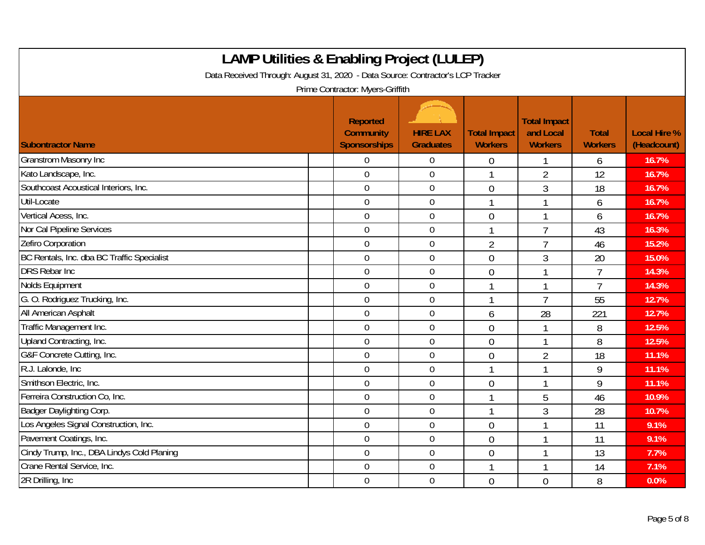| <b>LAMP Utilities &amp; Enabling Project (LULEP)</b><br>Data Received Through: August 31, 2020 - Data Source: Contractor's LCP Tracker<br>Prime Contractor: Myers-Griffith |                                                     |                                     |                                       |                                                    |                                |                                    |  |  |
|----------------------------------------------------------------------------------------------------------------------------------------------------------------------------|-----------------------------------------------------|-------------------------------------|---------------------------------------|----------------------------------------------------|--------------------------------|------------------------------------|--|--|
| <b>Subontractor Name</b>                                                                                                                                                   | Reported<br><b>Community</b><br><b>Sponsorships</b> | <b>HIRE LAX</b><br><b>Graduates</b> | <b>Total Impact</b><br><b>Workers</b> | <b>Total Impact</b><br>and Local<br><b>Workers</b> | <b>Total</b><br><b>Workers</b> | <b>Local Hire %</b><br>(Headcount) |  |  |
| <b>Granstrom Masonry Inc</b>                                                                                                                                               | $\overline{0}$                                      | $\mathbf 0$                         | $\theta$                              |                                                    | 6                              | 16.7%                              |  |  |
| Kato Landscape, Inc.                                                                                                                                                       | $\overline{0}$                                      | $\mathbf{0}$                        |                                       | $\overline{2}$                                     | 12                             | 16.7%                              |  |  |
| Southcoast Acoustical Interiors, Inc.                                                                                                                                      | $\mathbf 0$                                         | $\boldsymbol{0}$                    | $\overline{0}$                        | 3                                                  | 18                             | 16.7%                              |  |  |
| Util-Locate                                                                                                                                                                | $\overline{0}$                                      | $\mathbf 0$                         | $\mathbf 1$                           | $\mathbf 1$                                        | 6                              | 16.7%                              |  |  |
| Vertical Acess, Inc.                                                                                                                                                       | $\overline{0}$                                      | $\mathbf{0}$                        | $\overline{0}$                        |                                                    | 6                              | 16.7%                              |  |  |
| Nor Cal Pipeline Services                                                                                                                                                  | $\overline{0}$                                      | $\boldsymbol{0}$                    | 1                                     | $\overline{7}$                                     | 43                             | 16.3%                              |  |  |
| Zefiro Corporation                                                                                                                                                         | $\overline{0}$                                      | $\mathbf 0$                         | $\overline{2}$                        | $\overline{7}$                                     | 46                             | 15.2%                              |  |  |
| BC Rentals, Inc. dba BC Traffic Specialist                                                                                                                                 | $\mathbf 0$                                         | $\mathbf 0$                         | $\overline{0}$                        | 3                                                  | 20                             | 15.0%                              |  |  |
| <b>DRS Rebar Inc</b>                                                                                                                                                       | $\mathbf 0$                                         | $\boldsymbol{0}$                    | $\overline{0}$                        | 1                                                  | $\overline{7}$                 | 14.3%                              |  |  |
| Nolds Equipment                                                                                                                                                            | $\mathbf 0$                                         | $\mathbf 0$                         | $\mathbf{1}$                          | 1                                                  | $\overline{7}$                 | 14.3%                              |  |  |
| G. O. Rodriguez Trucking, Inc.                                                                                                                                             | $\mathbf 0$                                         | $\mathbf 0$                         |                                       | $\overline{7}$                                     | 55                             | 12.7%                              |  |  |
| All American Asphalt                                                                                                                                                       | $\mathbf 0$                                         | $\mathbf 0$                         | 6                                     | 28                                                 | 221                            | 12.7%                              |  |  |
| Traffic Management Inc.                                                                                                                                                    | $\overline{0}$                                      | $\mathbf 0$                         | $\mathbf{0}$                          | $\mathbf{1}$                                       | 8                              | 12.5%                              |  |  |
| Upland Contracting, Inc.                                                                                                                                                   | $\mathbf 0$                                         | $\mathbf 0$                         | $\overline{0}$                        |                                                    | 8                              | 12.5%                              |  |  |
| G&F Concrete Cutting, Inc.                                                                                                                                                 | $\mathbf 0$                                         | $\boldsymbol{0}$                    | $\overline{0}$                        | $\overline{2}$                                     | 18                             | 11.1%                              |  |  |
| R.J. Lalonde, Inc.                                                                                                                                                         | $\boldsymbol{0}$                                    | $\boldsymbol{0}$                    | $\mathbf{1}$                          | $\overline{1}$                                     | 9                              | 11.1%                              |  |  |
| Smithson Electric, Inc.                                                                                                                                                    | $\overline{0}$                                      | $\mathbf 0$                         | $\theta$                              | 1                                                  | 9                              | 11.1%                              |  |  |
| Ferreira Construction Co, Inc.                                                                                                                                             | $\mathbf 0$                                         | $\mathbf 0$                         | 1                                     | 5                                                  | 46                             | 10.9%                              |  |  |
| Badger Daylighting Corp.                                                                                                                                                   | $\overline{0}$                                      | $\overline{0}$                      | $\mathbf{1}$                          | 3                                                  | 28                             | 10.7%                              |  |  |
| Los Angeles Signal Construction, Inc.                                                                                                                                      | $\mathbf 0$                                         | $\mathbf 0$                         | $\overline{0}$                        |                                                    | 11                             | 9.1%                               |  |  |
| Pavement Coatings, Inc.                                                                                                                                                    | $\mathbf 0$                                         | $\mathbf 0$                         | $\theta$                              |                                                    | 11                             | 9.1%                               |  |  |
| Cindy Trump, Inc., DBA Lindys Cold Planing                                                                                                                                 | $\mathbf 0$                                         | $\mathbf 0$                         | $\mathbf{0}$                          | $\mathbf 1$                                        | 13                             | 7.7%                               |  |  |
| Crane Rental Service, Inc.                                                                                                                                                 | $\mathbf 0$                                         | $\boldsymbol{0}$                    |                                       |                                                    | 14                             | 7.1%                               |  |  |
| 2R Drilling, Inc.                                                                                                                                                          | $\overline{0}$                                      | $\mathbf 0$                         | $\overline{0}$                        | $\overline{0}$                                     | 8                              | 0.0%                               |  |  |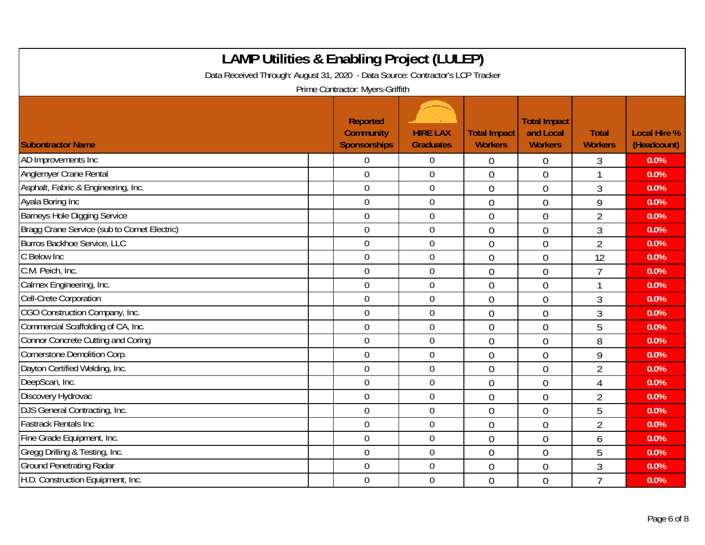| <b>LAMP Utilities &amp; Enabling Project (LULEP)</b><br>Data Received Through: August 31, 2020 - Data Source: Contractor's LCP Tracker<br>Prime Contractor: Myers-Griffith |                                                     |                                     |                                       |                                                    |                                |                                    |  |  |  |
|----------------------------------------------------------------------------------------------------------------------------------------------------------------------------|-----------------------------------------------------|-------------------------------------|---------------------------------------|----------------------------------------------------|--------------------------------|------------------------------------|--|--|--|
| <b>Subontractor Name</b>                                                                                                                                                   | Reported<br><b>Community</b><br><b>Sponsorships</b> | <b>HIRE LAX</b><br><b>Graduates</b> | <b>Total Impact</b><br><b>Workers</b> | <b>Total Impact</b><br>and Local<br><b>Workers</b> | <b>Total</b><br><b>Workers</b> | <b>Local Hire %</b><br>(Headcount) |  |  |  |
| AD Improvements Inc                                                                                                                                                        | $\overline{0}$                                      | $\overline{0}$                      | $\overline{0}$                        | 0                                                  | 3                              | 0.0%                               |  |  |  |
| Anglemyer Crane Rental                                                                                                                                                     | $\mathbf 0$                                         | $\mathbf 0$                         | $\overline{0}$                        | $\overline{0}$                                     | 1                              | 0.0%                               |  |  |  |
| Asphalt, Fabric & Engineering, Inc.                                                                                                                                        | $\overline{0}$                                      | $\boldsymbol{0}$                    | $\overline{0}$                        | $\overline{0}$                                     | 3                              | 0.0%                               |  |  |  |
| Ayala Boring Inc                                                                                                                                                           | $\overline{0}$                                      | $\mathbf 0$                         | $\overline{0}$                        | $\overline{0}$                                     | 9                              | 0.0%                               |  |  |  |
| Barneys Hole Digging Service                                                                                                                                               | $\overline{0}$                                      | $\overline{0}$                      | $\overline{0}$                        | $\overline{0}$                                     | $\overline{2}$                 | 0.0%                               |  |  |  |
| Bragg Crane Service (sub to Comet Electric)                                                                                                                                | $\overline{0}$                                      | $\boldsymbol{0}$                    | $\overline{0}$                        | $\overline{0}$                                     | 3                              | 0.0%                               |  |  |  |
| <b>Burros Backhoe Service, LLC</b>                                                                                                                                         | $\overline{0}$                                      | $\overline{0}$                      | $\overline{0}$                        | $\overline{0}$                                     | $\overline{2}$                 | 0.0%                               |  |  |  |
| C Below Inc                                                                                                                                                                | $\mathbf 0$                                         | $\mathbf 0$                         | $\overline{0}$                        | $\overline{0}$                                     | 12                             | 0.0%                               |  |  |  |
| C.M. Peich, Inc.                                                                                                                                                           | $\mathbf 0$                                         | $\overline{0}$                      | $\overline{0}$                        | $\overline{0}$                                     | $\overline{7}$                 | 0.0%                               |  |  |  |
| Calmex Engineering, Inc.                                                                                                                                                   | $\boldsymbol{0}$                                    | $\overline{0}$                      | $\overline{0}$                        | $\overline{0}$                                     | $\overline{\phantom{a}}$       | 0.0%                               |  |  |  |
| Cell-Crete Corporation                                                                                                                                                     | $\overline{0}$                                      | $\mathbf 0$                         | $\Omega$                              | $\overline{0}$                                     | 3                              | 0.0%                               |  |  |  |
| CGO Construction Company, Inc.                                                                                                                                             | $\overline{0}$                                      | $\overline{0}$                      | $\overline{0}$                        | $\overline{0}$                                     | 3                              | 0.0%                               |  |  |  |
| Commercial Scaffolding of CA, Inc.                                                                                                                                         | $\mathbf 0$                                         | $\mathbf 0$                         | $\overline{0}$                        | $\overline{0}$                                     | 5                              | 0.0%                               |  |  |  |
| <b>Connor Concrete Cutting and Coring</b>                                                                                                                                  | $\overline{0}$                                      | $\overline{0}$                      | $\overline{0}$                        | $\overline{0}$                                     | 8                              | 0.0%                               |  |  |  |
| Cornerstone Demolition Corp.                                                                                                                                               | $\mathbf 0$                                         | $\overline{0}$                      | $\overline{0}$                        | $\overline{0}$                                     | 9                              | 0.0%                               |  |  |  |
| Dayton Certified Welding, Inc.                                                                                                                                             | $\mathbf 0$                                         | $\mathbf 0$                         | $\overline{0}$                        | $\overline{0}$                                     | $\overline{2}$                 | 0.0%                               |  |  |  |
| DeepScan, Inc.                                                                                                                                                             | $\overline{0}$                                      | $\boldsymbol{0}$                    | $\overline{0}$                        | $\overline{0}$                                     | 4                              | 0.0%                               |  |  |  |
| Discovery Hydrovac                                                                                                                                                         | $\mathbf 0$                                         | $\mathbf 0$                         | $\overline{0}$                        | $\overline{0}$                                     | $\overline{2}$                 | 0.0%                               |  |  |  |
| DJS General Contracting, Inc.                                                                                                                                              | $\mathbf 0$                                         | $\mathbf 0$                         | $\overline{0}$                        | $\overline{0}$                                     | 5                              | 0.0%                               |  |  |  |
| <b>Fastrack Rentals Inc</b>                                                                                                                                                | $\mathbf 0$                                         | $\boldsymbol{0}$                    | $\overline{0}$                        | $\overline{0}$                                     | $\overline{2}$                 | 0.0%                               |  |  |  |
| Fine Grade Equipment, Inc.                                                                                                                                                 | $\overline{0}$                                      | $\overline{0}$                      | $\overline{0}$                        | $\overline{0}$                                     | 6                              | 0.0%                               |  |  |  |
| Gregg Drilling & Testing, Inc.                                                                                                                                             | $\overline{0}$                                      | $\overline{0}$                      | $\overline{0}$                        | $\overline{0}$                                     | 5                              | 0.0%                               |  |  |  |
| <b>Ground Penetrating Radar</b>                                                                                                                                            | $\boldsymbol{0}$                                    | $\boldsymbol{0}$                    | $\overline{0}$                        | $\overline{0}$                                     | 3                              | 0.0%                               |  |  |  |
| H.D. Construction Equipment, Inc.                                                                                                                                          | $\overline{0}$                                      | $\mathbf 0$                         | $\overline{0}$                        | $\overline{0}$                                     | $\overline{7}$                 | 0.0%                               |  |  |  |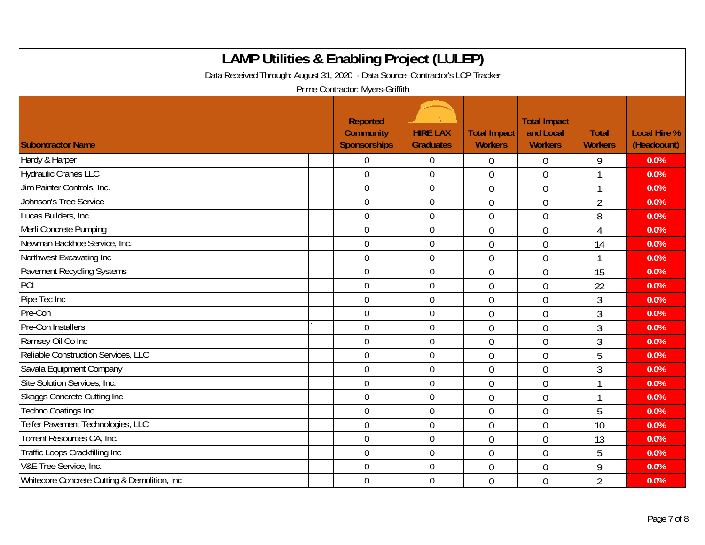| <b>LAMP Utilities &amp; Enabling Project (LULEP)</b><br>Data Received Through: August 31, 2020 - Data Source: Contractor's LCP Tracker<br>Prime Contractor: Myers-Griffith |                                                     |                                     |                                       |                                                    |                                |                                    |  |  |
|----------------------------------------------------------------------------------------------------------------------------------------------------------------------------|-----------------------------------------------------|-------------------------------------|---------------------------------------|----------------------------------------------------|--------------------------------|------------------------------------|--|--|
| <b>Subontractor Name</b>                                                                                                                                                   | <b>Reported</b><br><b>Community</b><br>Sponsorships | <b>HIRE LAX</b><br><b>Graduates</b> | <b>Total Impact</b><br><b>Workers</b> | <b>Total Impact</b><br>and Local<br><b>Workers</b> | <b>Total</b><br><b>Workers</b> | <b>Local Hire %</b><br>(Headcount) |  |  |
| Hardy & Harper                                                                                                                                                             | $\Omega$                                            | $\overline{0}$                      | $\overline{0}$                        | $\overline{0}$                                     | 9                              | 0.0%                               |  |  |
| <b>Hydraulic Cranes LLC</b>                                                                                                                                                | $\overline{0}$                                      | $\overline{0}$                      | $\overline{0}$                        | $\overline{0}$                                     |                                | 0.0%                               |  |  |
| Jim Painter Controls, Inc.                                                                                                                                                 | $\mathbf 0$                                         | $\boldsymbol{0}$                    | $\overline{0}$                        | $\overline{0}$                                     | -1                             | 0.0%                               |  |  |
| Johnson's Tree Service                                                                                                                                                     | $\overline{0}$                                      | $\overline{0}$                      | $\overline{0}$                        | $\overline{0}$                                     | $\overline{2}$                 | 0.0%                               |  |  |
| Lucas Builders, Inc.                                                                                                                                                       | $\overline{0}$                                      | $\overline{0}$                      | $\overline{0}$                        | $\overline{0}$                                     | 8                              | 0.0%                               |  |  |
| Merli Concrete Pumping                                                                                                                                                     | $\overline{0}$                                      | $\boldsymbol{0}$                    | $\overline{0}$                        | $\overline{0}$                                     | $\overline{4}$                 | 0.0%                               |  |  |
| Newman Backhoe Service, Inc.                                                                                                                                               | $\mathbf 0$                                         | $\mathbf 0$                         | $\overline{0}$                        | $\overline{0}$                                     | 14                             | 0.0%                               |  |  |
| Northwest Excavating Inc                                                                                                                                                   | $\mathbf 0$                                         | $\mathbf 0$                         | $\overline{0}$                        | $\overline{0}$                                     |                                | 0.0%                               |  |  |
| Pavement Recycling Systems                                                                                                                                                 | $\mathbf 0$                                         | $\mathbf 0$                         | $\overline{0}$                        | $\mathbf 0$                                        | 15                             | 0.0%                               |  |  |
| PCI                                                                                                                                                                        | $\mathbf 0$                                         | $\overline{0}$                      | $\overline{0}$                        | $\overline{0}$                                     | 22                             | 0.0%                               |  |  |
| Pipe Tec Inc                                                                                                                                                               | $\overline{0}$                                      | $\mathbf 0$                         | $\overline{0}$                        | $\theta$                                           | 3                              | 0.0%                               |  |  |
| Pre-Con                                                                                                                                                                    | $\mathbf 0$                                         | $\mathbf 0$                         | $\overline{0}$                        | $\overline{0}$                                     | 3                              | 0.0%                               |  |  |
| Pre-Con Installers                                                                                                                                                         | $\overline{0}$                                      | $\overline{0}$                      | $\overline{0}$                        | $\mathbf 0$                                        | 3                              | 0.0%                               |  |  |
| Ramsey Oil Co Inc                                                                                                                                                          | $\overline{0}$                                      | $\mathbf 0$                         | $\overline{0}$                        | $\overline{0}$                                     | 3                              | 0.0%                               |  |  |
| Reliable Construction Services, LLC                                                                                                                                        | $\overline{0}$                                      | $\overline{0}$                      | $\overline{0}$                        | $\overline{0}$                                     | 5                              | 0.0%                               |  |  |
| Savala Equipment Company                                                                                                                                                   | $\mathbf 0$                                         | $\mathbf 0$                         | $\mathbf 0$                           | $\mathbf 0$                                        | 3                              | 0.0%                               |  |  |
| Site Solution Services, Inc.                                                                                                                                               | $\mathbf 0$                                         | $\mathbf 0$                         | $\overline{0}$                        | $\overline{0}$                                     |                                | 0.0%                               |  |  |
| <b>Skaggs Concrete Cutting Inc</b>                                                                                                                                         | $\mathbf 0$                                         | $\mathbf 0$                         | $\overline{0}$                        | $\overline{0}$                                     |                                | 0.0%                               |  |  |
| <b>Techno Coatings Inc</b>                                                                                                                                                 | $\mathbf 0$                                         | $\mathbf 0$                         | $\overline{0}$                        | $\overline{0}$                                     | 5                              | 0.0%                               |  |  |
| Telfer Pavement Technologies, LLC                                                                                                                                          | $\overline{0}$                                      | $\boldsymbol{0}$                    | $\overline{0}$                        | $\overline{0}$                                     | 10                             | 0.0%                               |  |  |
| Torrent Resources CA, Inc.                                                                                                                                                 | $\mathbf 0$                                         | $\boldsymbol{0}$                    | $\overline{0}$                        | $\overline{0}$                                     | 13                             | 0.0%                               |  |  |
| Traffic Loops Crackfilling Inc                                                                                                                                             | $\mathbf 0$                                         | $\mathbf 0$                         | $\overline{0}$                        | $\overline{0}$                                     | 5                              | 0.0%                               |  |  |
| V&E Tree Service, Inc.                                                                                                                                                     | $\overline{0}$                                      | $\mathbf 0$                         | $\overline{0}$                        | $\overline{0}$                                     | 9                              | 0.0%                               |  |  |
| Whitecore Concrete Cutting & Demolition, Inc.                                                                                                                              | $\mathbf 0$                                         | $\mathbf 0$                         | $\overline{0}$                        | $\overline{0}$                                     | $\overline{2}$                 | 0.0%                               |  |  |